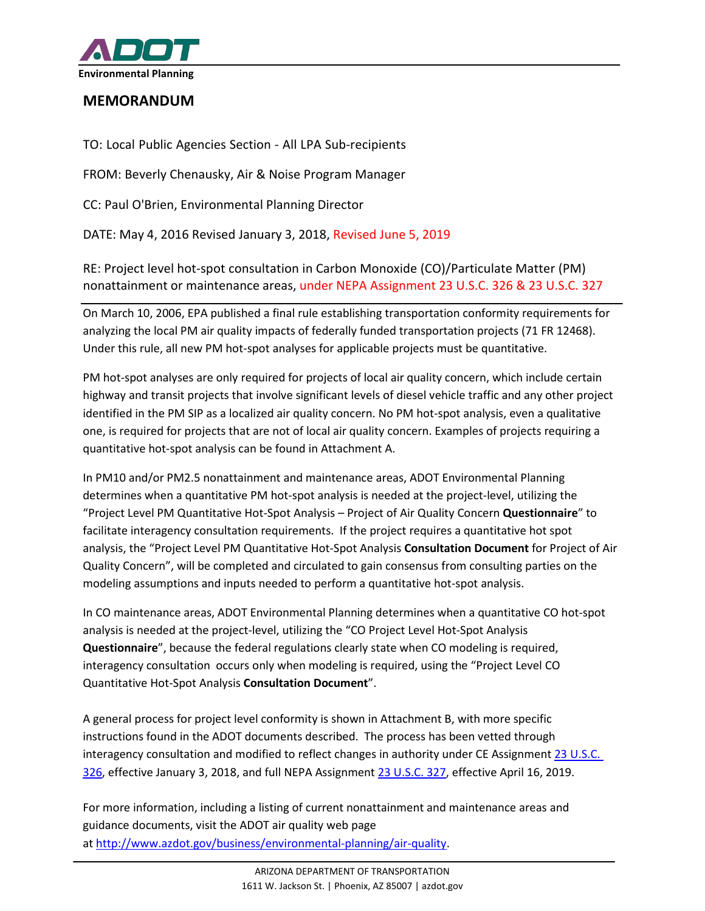

## **MEMORANDUM**

TO: Local Public Agencies Section - All LPA Sub-recipients

FROM: Beverly Chenausky, Air & Noise Program Manager

CC: Paul O'Brien, Environmental Planning Director

DATE: May 4, 2016 Revised January 3, 2018, Revised June 5, 2019

RE: Project level hot-spot consultation in Carbon Monoxide (CO)/Particulate Matter (PM) nonattainment or maintenance areas, under NEPA Assignment 23 U.S.C. 326 & 23 U.S.C. 327

On March 10, 2006, EPA published a final rule establishing transportation conformity requirements for analyzing the local PM air quality impacts of federally funded transportation projects (71 FR 12468). Under this rule, all new PM hot-spot analyses for applicable projects must be quantitative.

PM hot-spot analyses are only required for projects of local air quality concern, which include certain highway and transit projects that involve significant levels of diesel vehicle traffic and any other project identified in the PM SIP as a localized air quality concern. No PM hot-spot analysis, even a qualitative one, is required for projects that are not of local air quality concern. Examples of projects requiring a quantitative hot-spot analysis can be found in Attachment A.

In PM10 and/or PM2.5 nonattainment and maintenance areas, ADOT Environmental Planning determines when a quantitative PM hot-spot analysis is needed at the project-level, utilizing the "Project Level PM Quantitative Hot-Spot Analysis – Project of Air Quality Concern **Questionnaire**" to facilitate interagency consultation requirements. If the project requires a quantitative hot spot analysis, the "Project Level PM Quantitative Hot-Spot Analysis **Consultation Document** for Project of Air Quality Concern", will be completed and circulated to gain consensus from consulting parties on the modeling assumptions and inputs needed to perform a quantitative hot-spot analysis.

In CO maintenance areas, ADOT Environmental Planning determines when a quantitative CO hot-spot analysis is needed at the project-level, utilizing the "CO Project Level Hot-Spot Analysis **Questionnaire**", because the federal regulations clearly state when CO modeling is required, interagency consultation occurs only when modeling is required, using the "Project Level CO Quantitative Hot-Spot Analysis **Consultation Document**".

A general process for project level conformity is shown in Attachment B, with more specific instructions found in the ADOT documents described. The process has been vetted through interagency consultation and modified to reflect changes in authority under CE Assignmen[t 23 U.S.C.](https://www.azdot.gov/business/environmental-planning/ce-assignment-and-nepa-assignment)  [326,](https://www.azdot.gov/business/environmental-planning/ce-assignment-and-nepa-assignment) effective January 3, 2018, and full NEPA Assignment [23 U.S.C. 327,](https://www.azdot.gov/business/environmental-planning/ce-assignment-and-nepa-assignment) effective April 16, 2019.

For more information, including a listing of current nonattainment and maintenance areas and [guidance documents, visit the ADOT air quality web page](http://www.azdot.gov/business/environmental-planning/air-quality)  [at](http://www.azdot.gov/business/environmental-planning/air-quality) [http://www.azdot.gov/business/environmental-planning/air-quality.](http://www.azdot.gov/business/environmental-planning/air-quality)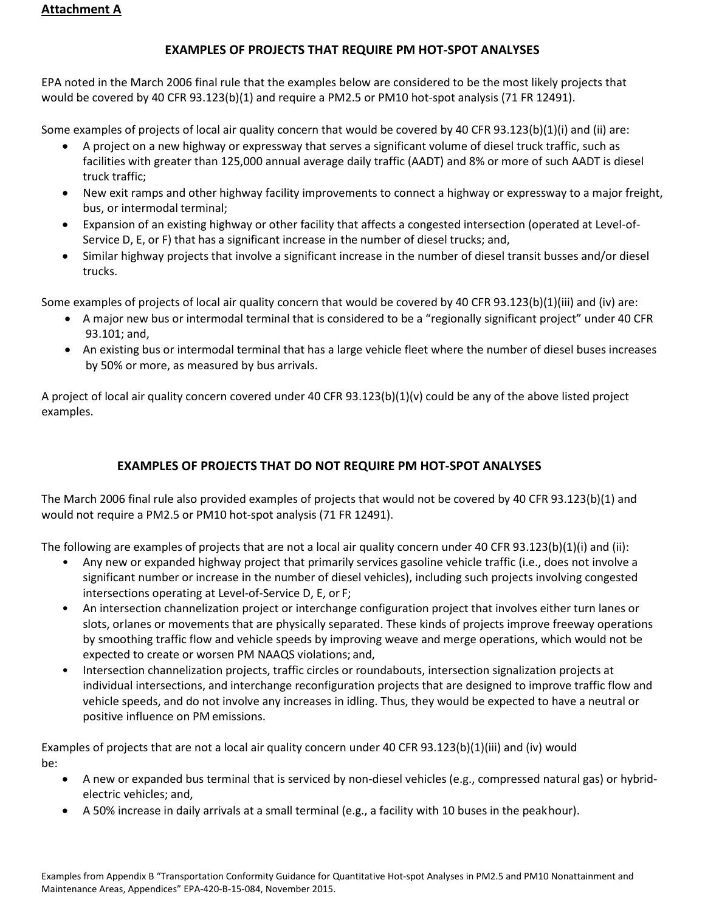## **Attachment A**

## **EXAMPLES OF PROJECTS THAT REQUIRE PM HOT-SPOT ANALYSES**

EPA noted in the March 2006 final rule that the examples below are considered to be the most likely projects that would be covered by 40 CFR 93.123(b)(1) and require a PM2.5 or PM10 hot-spot analysis (71 FR 12491).

Some examples of projects of local air quality concern that would be covered by 40 CFR 93.123(b)(1)(i) and (ii) are:

- A project on a new highway or expressway that serves a significant volume of diesel truck traffic, such as facilities with greater than 125,000 annual average daily traffic (AADT) and 8% or more of such AADT is diesel truck traffic;
- New exit ramps and other highway facility improvements to connect a highway or expressway to a major freight, bus, or intermodal terminal;
- Expansion of an existing highway or other facility that affects a congested intersection (operated at Level-of-Service D, E, or F) that has a significant increase in the number of diesel trucks; and,
- Similar highway projects that involve a significant increase in the number of diesel transit busses and/or diesel trucks.

Some examples of projects of local air quality concern that would be covered by 40 CFR 93.123(b)(1)(iii) and (iv) are:

- A major new bus or intermodal terminal that is considered to be a "regionally significant project" under 40 CFR 93.101; and,
- An existing bus or intermodal terminal that has a large vehicle fleet where the number of diesel buses increases by 50% or more, as measured by bus arrivals.

A project of local air quality concern covered under 40 CFR 93.123(b)(1)(v) could be any of the above listed project examples.

## **EXAMPLES OF PROJECTS THAT DO NOT REQUIRE PM HOT-SPOT ANALYSES**

The March 2006 final rule also provided examples of projects that would not be covered by 40 CFR 93.123(b)(1) and would not require a PM2.5 or PM10 hot-spot analysis (71 FR 12491).

The following are examples of projects that are not a local air quality concern under 40 CFR 93.123(b)(1)(i) and (ii):

- Any new or expanded highway project that primarily services gasoline vehicle traffic (i.e., does not involve a significant number or increase in the number of diesel vehicles), including such projects involving congested intersections operating at Level-of-Service D, E, or F;
- An intersection channelization project or interchange configuration project that involves either turn lanes or slots, orlanes or movements that are physically separated. These kinds of projects improve freeway operations by smoothing traffic flow and vehicle speeds by improving weave and merge operations, which would not be expected to create or worsen PM NAAQS violations; and,
- Intersection channelization projects, traffic circles or roundabouts, intersection signalization projects at individual intersections, and interchange reconfiguration projects that are designed to improve traffic flow and vehicle speeds, and do not involve any increases in idling. Thus, they would be expected to have a neutral or positive influence on PM emissions.

Examples of projects that are not a local air quality concern under 40 CFR 93.123(b)(1)(iii) and (iv) would be:

- A new or expanded bus terminal that is serviced by non-diesel vehicles (e.g., compressed natural gas) or hybridelectric vehicles; and,
- A 50% increase in daily arrivals at a small terminal (e.g., a facility with 10 buses in the peakhour).